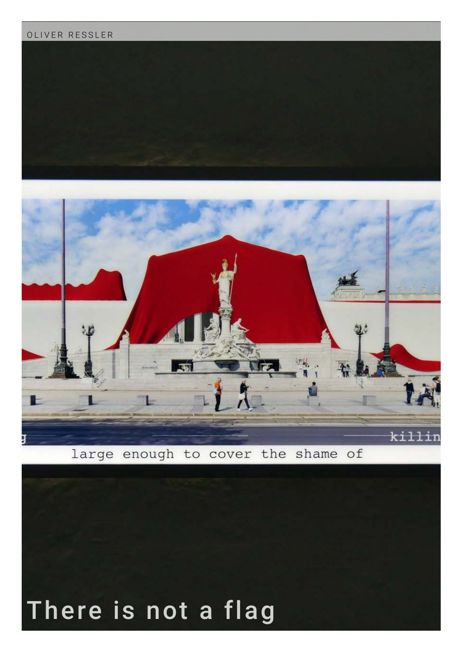## OLIVER RESSLER





large enough to cover the shame of

## There is not a flag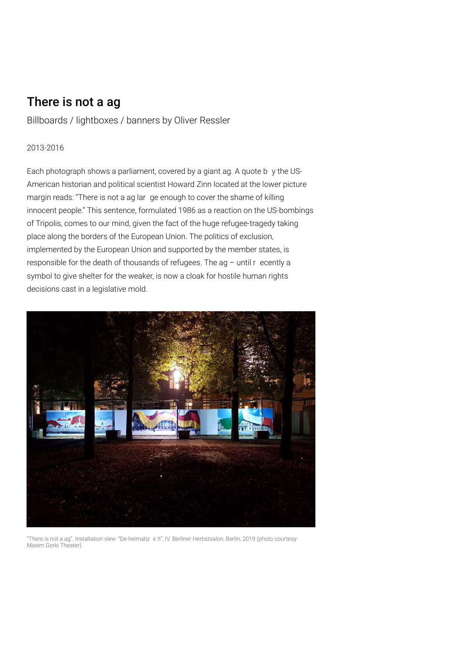## There is not a ag

Billboards / lightboxes / banners by Oliver Ressler

## 2013-2016

Each photograph shows a parliament, covered by a giant ag. A quote b y the US-American historian and political scientist Howard Zinn located at the lower picture margin reads: "There is not a ag lar ge enough to cover the shame of killing innocent people." This sentence, formulated 1986 as a reaction on the US-bombings of Tripolis, comes to our mind, given the fact of the huge refugee-tragedy taking place along the borders of the European Union. The politics of exclusion, implemented by the European Union and supported by the member states, is responsible for the death of thousands of refugees. The ag – until r ecently a symbol to give shelter for the weaker, is now a cloak for hostile human rights decisions cast in a legislative mold.



"There is not a ag". Installation view: "De-heimatiz e It", IV. Berliner Herbstsalon, Berlin, 2019 (photo courtesy: Maxim Gorki Theater)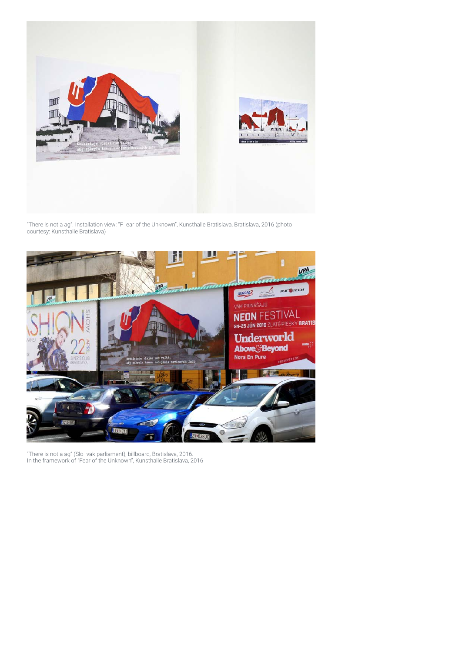

"There is not a ag". Installation view: "F ear of the Unknown", Kunsthalle Bratislava, Bratislava, 2016 (photo courtesy: Kunsthalle Bratislava)



"There is not a ag" (Slo vak parliament), billboard, Bratislava, 2016. In the framework of "Fear of the Unknown", Kunsthalle Bratislava, 2016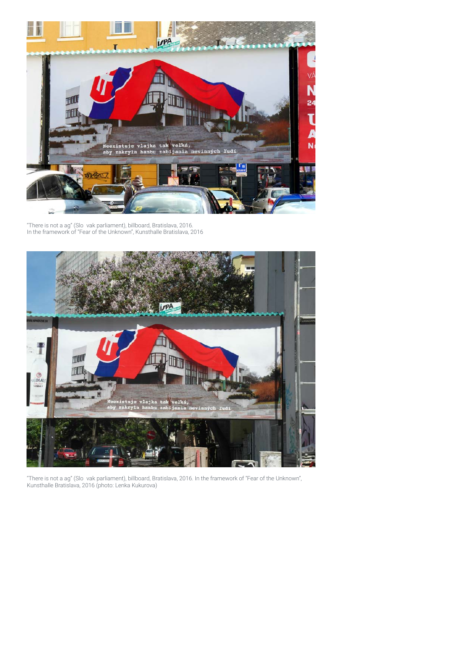

"There is not a ag" (Slo vak parliament), billboard, Bratislava, 2016. In the framework of "Fear of the Unknown", Kunsthalle Bratislava, 2016



"There is not a ag" (Slo vak parliament), billboard, Bratislava, 2016. In the framework of "Fear of the Unknown", Kunsthalle Bratislava, 2016 (photo: Lenka Kukurova)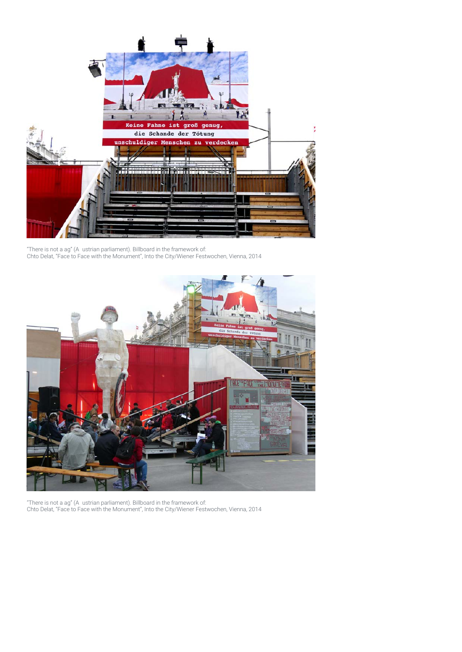

"There is not a ag" (A ustrian parliament). Billboard in the framework of: Chto Delat, "Face to Face with the Monument", Into the City/Wiener Festwochen, Vienna, 2014



"There is not a ag" (A ustrian parliament). Billboard in the framework of: Chto Delat, "Face to Face with the Monument", Into the City/Wiener Festwochen, Vienna, 2014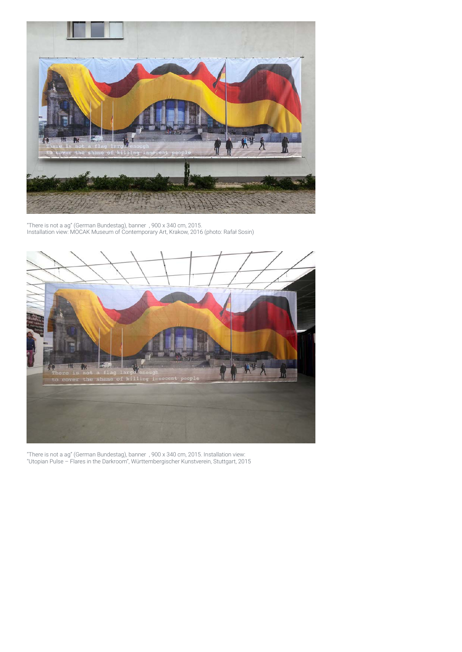

"There is not a ag" (German Bundestag), banner , 900 x 340 cm, 2015. Installation view: MOCAK Museum of Contemporary Art, Krakow, 2016 (photo: Rafał Sosin)



"There is not a ag" (German Bundestag), banner , 900 x 340 cm, 2015. Installation view: "Utopian Pulse – Flares in the Darkroom", Württembergischer Kunstverein, Stuttgart, 2015